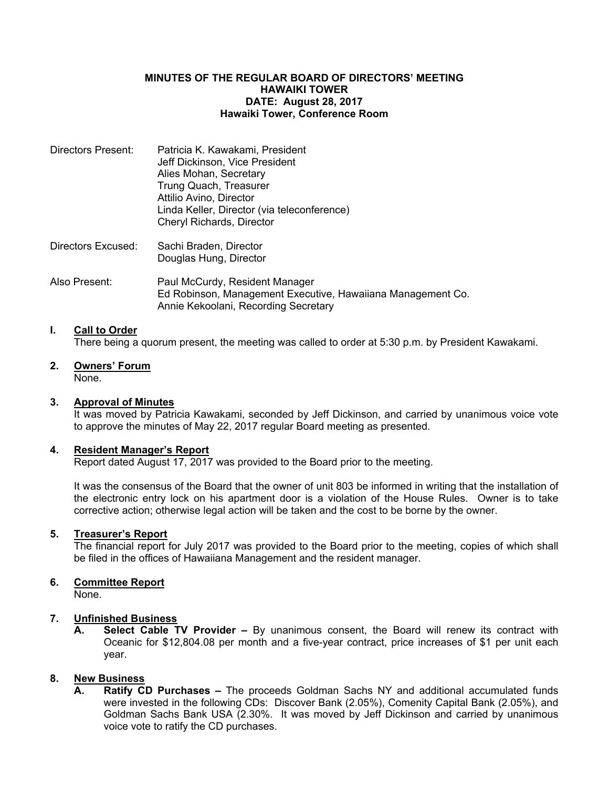#### **MINUTES OF THE REGULAR BOARD OF DIRECTORS' MEETING HAWAIKI TOWER DATE: August 28, 2017 Hawaiki Tower, Conference Room**

| Directors Present: | Patricia K. Kawakami, President             |
|--------------------|---------------------------------------------|
|                    | Jeff Dickinson, Vice President              |
|                    | Alies Mohan, Secretary                      |
|                    | Trung Quach, Treasurer                      |
|                    | Attilio Avino, Director                     |
|                    | Linda Keller, Director (via teleconference) |
|                    | Cheryl Richards, Director                   |
|                    |                                             |
|                    |                                             |

Directors Excused: Sachi Braden, Director Douglas Hung, Director

Also Present: Paul McCurdy, Resident Manager Ed Robinson, Management Executive, Hawaiiana Management Co. Annie Kekoolani, Recording Secretary

## **I. Call to Order**

There being a quorum present, the meeting was called to order at 5:30 p.m. by President Kawakami.

**2. Owners' Forum** None.

### **3. Approval of Minutes**

It was moved by Patricia Kawakami, seconded by Jeff Dickinson, and carried by unanimous voice vote to approve the minutes of May 22, 2017 regular Board meeting as presented.

#### **4. Resident Manager's Report**

Report dated August 17, 2017 was provided to the Board prior to the meeting.

It was the consensus of the Board that the owner of unit 803 be informed in writing that the installation of the electronic entry lock on his apartment door is a violation of the House Rules. Owner is to take corrective action; otherwise legal action will be taken and the cost to be borne by the owner.

#### **5. Treasurer's Report**

The financial report for July 2017 was provided to the Board prior to the meeting, copies of which shall be filed in the offices of Hawaiiana Management and the resident manager.

### **6. Committee Report**

None.

### **7. Unfinished Business**

**A. Select Cable TV Provider –** By unanimous consent, the Board will renew its contract with Oceanic for \$12,804.08 per month and a five-year contract, price increases of \$1 per unit each year.

# **8. New Business**

**A. Ratify CD Purchases –** The proceeds Goldman Sachs NY and additional accumulated funds were invested in the following CDs: Discover Bank (2.05%), Comenity Capital Bank (2.05%), and Goldman Sachs Bank USA (2.30%. It was moved by Jeff Dickinson and carried by unanimous voice vote to ratify the CD purchases.